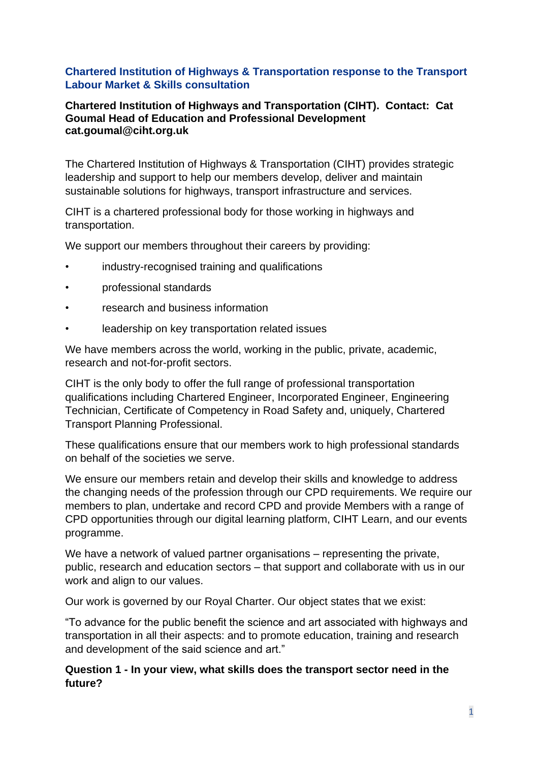## **Chartered Institution of Highways & Transportation response to the Transport Labour Market & Skills consultation**

#### **Chartered Institution of Highways and Transportation (CIHT). Contact: Cat Goumal Head of Education and Professional Development cat.goumal@ciht.org.uk**

The Chartered Institution of Highways & Transportation (CIHT) provides strategic leadership and support to help our members develop, deliver and maintain sustainable solutions for highways, transport infrastructure and services.

CIHT is a chartered professional body for those working in highways and transportation.

We support our members throughout their careers by providing:

- industry-recognised training and qualifications
- professional standards
- research and business information
- leadership on key transportation related issues

We have members across the world, working in the public, private, academic, research and not-for-profit sectors.

CIHT is the only body to offer the full range of professional transportation qualifications including Chartered Engineer, Incorporated Engineer, Engineering Technician, Certificate of Competency in Road Safety and, uniquely, Chartered Transport Planning Professional.

These qualifications ensure that our members work to high professional standards on behalf of the societies we serve.

We ensure our members retain and develop their skills and knowledge to address the changing needs of the profession through our CPD requirements. We require our members to plan, undertake and record CPD and provide Members with a range of CPD opportunities through our digital learning platform, CIHT Learn, and our events programme.

We have a network of valued partner organisations – representing the private, public, research and education sectors – that support and collaborate with us in our work and align to our values.

Our work is governed by our Royal Charter. Our object states that we exist:

"To advance for the public benefit the science and art associated with highways and transportation in all their aspects: and to promote education, training and research and development of the said science and art."

### **Question 1 - In your view, what skills does the transport sector need in the future?**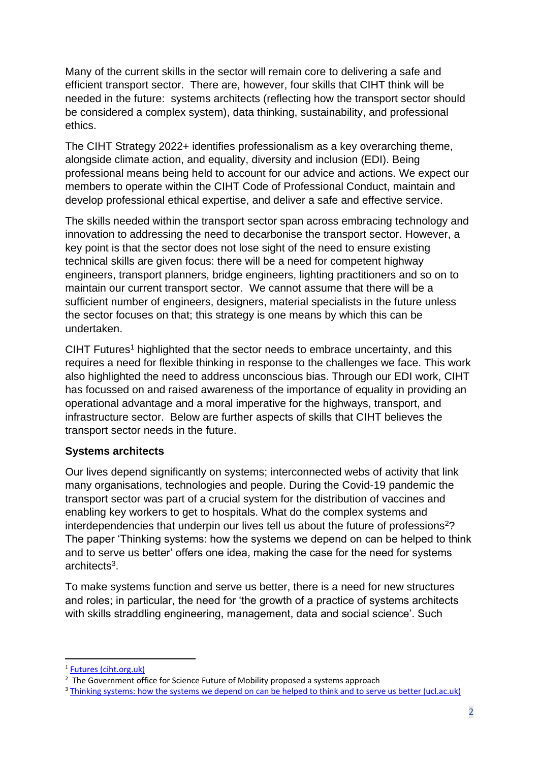Many of the current skills in the sector will remain core to delivering a safe and efficient transport sector. There are, however, four skills that CIHT think will be needed in the future: systems architects (reflecting how the transport sector should be considered a complex system), data thinking, sustainability, and professional ethics.

The CIHT Strategy 2022+ identifies professionalism as a key overarching theme, alongside climate action, and equality, diversity and inclusion (EDI). Being professional means being held to account for our advice and actions. We expect our members to operate within the CIHT Code of Professional Conduct, maintain and develop professional ethical expertise, and deliver a safe and effective service.

The skills needed within the transport sector span across embracing technology and innovation to addressing the need to decarbonise the transport sector. However, a key point is that the sector does not lose sight of the need to ensure existing technical skills are given focus: there will be a need for competent highway engineers, transport planners, bridge engineers, lighting practitioners and so on to maintain our current transport sector. We cannot assume that there will be a sufficient number of engineers, designers, material specialists in the future unless the sector focuses on that; this strategy is one means by which this can be undertaken.

CIHT Futures<sup>1</sup> highlighted that the sector needs to embrace uncertainty, and this requires a need for flexible thinking in response to the challenges we face. This work also highlighted the need to address unconscious bias. Through our EDI work, CIHT has focussed on and raised awareness of the importance of equality in providing an operational advantage and a moral imperative for the highways, transport, and infrastructure sector. Below are further aspects of skills that CIHT believes the transport sector needs in the future.

# **Systems architects**

Our lives depend significantly on systems; interconnected webs of activity that link many organisations, technologies and people. During the Covid-19 pandemic the transport sector was part of a crucial system for the distribution of vaccines and enabling key workers to get to hospitals. What do the complex systems and interdependencies that underpin our lives tell us about the future of professions<sup>2</sup>? The paper 'Thinking systems: how the systems we depend on can be helped to think and to serve us better' offers one idea, making the case for the need for systems architects<sup>3</sup>.

To make systems function and serve us better, there is a need for new structures and roles; in particular, the need for 'the growth of a practice of systems architects with skills straddling engineering, management, data and social science'. Such

<sup>&</sup>lt;sup>1</sup> [Futures \(ciht.org.uk\)](https://www.ciht.org.uk/knowledge-resource-centre/resources/futures/)

<sup>&</sup>lt;sup>2</sup> The Government office for Science Future of Mobility proposed a systems approach

<sup>&</sup>lt;sup>3</sup> [Thinking systems: how the systems we depend on can be helped to think and to serve us better \(ucl.ac.uk\)](https://www.ucl.ac.uk/steapp/sites/steapp/files/thinking_systems_2021_mulgan.pdf)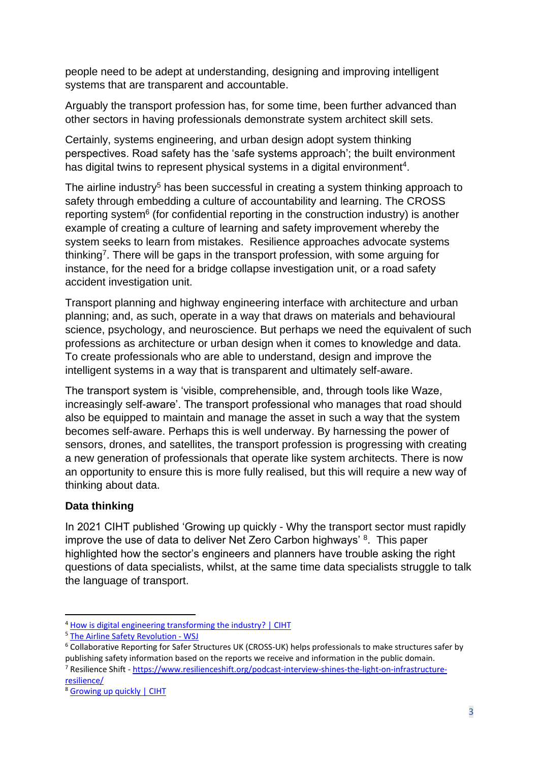people need to be adept at understanding, designing and improving intelligent systems that are transparent and accountable.

Arguably the transport profession has, for some time, been further advanced than other sectors in having professionals demonstrate system architect skill sets.

Certainly, systems engineering, and urban design adopt system thinking perspectives. Road safety has the 'safe systems approach'; the built environment has digital twins to represent physical systems in a digital environment<sup>4</sup>.

The airline industry<sup>5</sup> has been successful in creating a system thinking approach to safety through embedding a culture of accountability and learning. The CROSS reporting system<sup>6</sup> (for confidential reporting in the construction industry) is another example of creating a culture of learning and safety improvement whereby the system seeks to learn from mistakes. Resilience approaches advocate systems thinking<sup>7</sup>. There will be gaps in the transport profession, with some arguing for instance, for the need for a bridge collapse investigation unit, or a road safety accident investigation unit.

Transport planning and highway engineering interface with architecture and urban planning; and, as such, operate in a way that draws on materials and behavioural science, psychology, and neuroscience. But perhaps we need the equivalent of such professions as architecture or urban design when it comes to knowledge and data. To create professionals who are able to understand, design and improve the intelligent systems in a way that is transparent and ultimately self-aware.

The transport system is 'visible, comprehensible, and, through tools like Waze, increasingly self-aware'. The transport professional who manages that road should also be equipped to maintain and manage the asset in such a way that the system becomes self-aware. Perhaps this is well underway. By harnessing the power of sensors, drones, and satellites, the transport profession is progressing with creating a new generation of professionals that operate like system architects. There is now an opportunity to ensure this is more fully realised, but this will require a new way of thinking about data.

# **Data thinking**

In 2021 CIHT published 'Growing up quickly - Why the transport sector must rapidly improve the use of data to deliver Net Zero Carbon highways' 8. This paper highlighted how the sector's engineers and planners have trouble asking the right questions of data specialists, whilst, at the same time data specialists struggle to talk the language of transport.

<sup>&</sup>lt;sup>4</sup> [How is digital engineering transforming the industry? | CIHT](https://www.ciht.org.uk/news/how-is-digital-engineering-transforming-the-industry/)

<sup>5</sup> [The Airline Safety Revolution -](https://www.wsj.com/articles/the-airline-safety-revolution-11618585543) WSJ

<sup>6</sup> Collaborative Reporting for Safer Structures UK (CROSS-UK) helps professionals to make structures safer by publishing safety information based on the reports we receive and information in the public domain. <sup>7</sup> Resilience Shift - [https://www.resilienceshift.org/podcast-interview-shines-the-light-on-infrastructure-](https://www.resilienceshift.org/podcast-interview-shines-the-light-on-infrastructure-resilience/)

[resilience/](https://www.resilienceshift.org/podcast-interview-shines-the-light-on-infrastructure-resilience/)

<sup>8</sup> [Growing up quickly | CIHT](https://www.ciht.org.uk/growing-up-quickly/)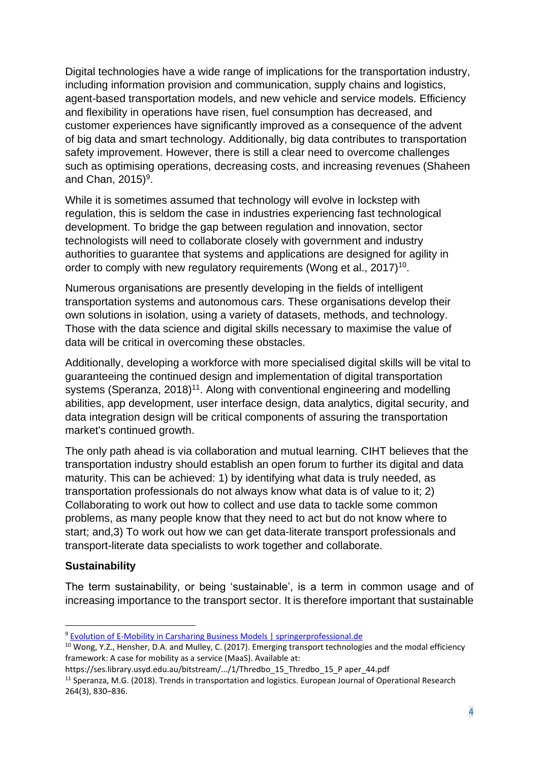Digital technologies have a wide range of implications for the transportation industry, including information provision and communication, supply chains and logistics, agent-based transportation models, and new vehicle and service models. Efficiency and flexibility in operations have risen, fuel consumption has decreased, and customer experiences have significantly improved as a consequence of the advent of big data and smart technology. Additionally, big data contributes to transportation safety improvement. However, there is still a clear need to overcome challenges such as optimising operations, decreasing costs, and increasing revenues (Shaheen and Chan,  $2015$ <sup>9</sup>.

While it is sometimes assumed that technology will evolve in lockstep with regulation, this is seldom the case in industries experiencing fast technological development. To bridge the gap between regulation and innovation, sector technologists will need to collaborate closely with government and industry authorities to guarantee that systems and applications are designed for agility in order to comply with new regulatory requirements (Wong et al., 2017)<sup>10</sup>.

Numerous organisations are presently developing in the fields of intelligent transportation systems and autonomous cars. These organisations develop their own solutions in isolation, using a variety of datasets, methods, and technology. Those with the data science and digital skills necessary to maximise the value of data will be critical in overcoming these obstacles.

Additionally, developing a workforce with more specialised digital skills will be vital to guaranteeing the continued design and implementation of digital transportation systems (Speranza, 2018)<sup>11</sup>. Along with conventional engineering and modelling abilities, app development, user interface design, data analytics, digital security, and data integration design will be critical components of assuring the transportation market's continued growth.

The only path ahead is via collaboration and mutual learning. CIHT believes that the transportation industry should establish an open forum to further its digital and data maturity. This can be achieved: 1) by identifying what data is truly needed, as transportation professionals do not always know what data is of value to it; 2) Collaborating to work out how to collect and use data to tackle some common problems, as many people know that they need to act but do not know where to start; and,3) To work out how we can get data-literate transport professionals and transport-literate data specialists to work together and collaborate.

# **Sustainability**

The term sustainability, or being 'sustainable', is a term in common usage and of increasing importance to the transport sector. It is therefore important that sustainable

<sup>9</sup> [Evolution of E-Mobility in Carsharing Business Models | springerprofessional.de](https://www.springerprofessional.de/en/evolution-of-e-mobility-in-carsharing-business-models/2305428)

<sup>&</sup>lt;sup>10</sup> Wong, Y.Z., Hensher, D.A. and Mulley, C. (2017). Emerging transport technologies and the modal efficiency framework: A case for mobility as a service (MaaS). Available at:

https://ses.library.usyd.edu.au/bitstream/.../1/Thredbo\_15\_Thredbo\_15\_P aper\_44.pdf

<sup>&</sup>lt;sup>11</sup> Speranza, M.G. (2018). Trends in transportation and logistics. European Journal of Operational Research 264(3), 830–836.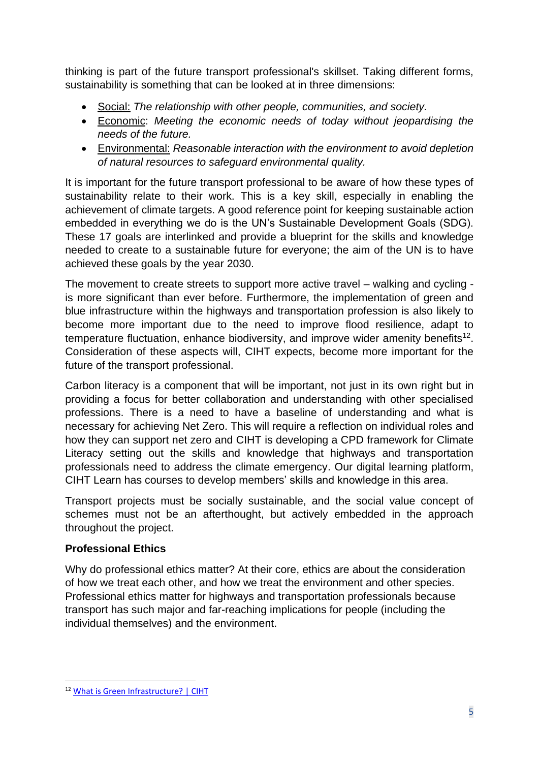thinking is part of the future transport professional's skillset. Taking different forms, sustainability is something that can be looked at in three dimensions:

- Social: *The relationship with other people, communities, and society.*
- Economic: *Meeting the economic needs of today without jeopardising the needs of the future.*
- Environmental: *Reasonable interaction with the environment to avoid depletion of natural resources to safeguard environmental quality.*

It is important for the future transport professional to be aware of how these types of sustainability relate to their work. This is a key skill, especially in enabling the achievement of climate targets. A good reference point for keeping sustainable action embedded in everything we do is the UN's Sustainable Development Goals (SDG). These 17 goals are interlinked and provide a blueprint for the skills and knowledge needed to create to a sustainable future for everyone; the aim of the UN is to have achieved these goals by the year 2030.

The movement to create streets to support more active travel – walking and cycling is more significant than ever before. Furthermore, the implementation of green and blue infrastructure within the highways and transportation profession is also likely to become more important due to the need to improve flood resilience, adapt to temperature fluctuation, enhance biodiversity, and improve wider amenity benefits<sup>12</sup>. Consideration of these aspects will, CIHT expects, become more important for the future of the transport professional.

Carbon literacy is a component that will be important, not just in its own right but in providing a focus for better collaboration and understanding with other specialised professions. There is a need to have a baseline of understanding and what is necessary for achieving Net Zero. This will require a reflection on individual roles and how they can support net zero and CIHT is developing a CPD framework for Climate Literacy setting out the skills and knowledge that highways and transportation professionals need to address the climate emergency. Our digital learning platform, CIHT Learn has courses to develop members' skills and knowledge in this area.

Transport projects must be socially sustainable, and the social value concept of schemes must not be an afterthought, but actively embedded in the approach throughout the project.

# **Professional Ethics**

Why do professional ethics matter? At their core, ethics are about the consideration of how we treat each other, and how we treat the environment and other species. Professional ethics matter for highways and transportation professionals because transport has such major and far-reaching implications for people (including the individual themselves) and the environment.

<sup>12</sup> [What is Green Infrastructure? | CIHT](https://www.ciht.org.uk/blogs/what-is-green-infrastructure/)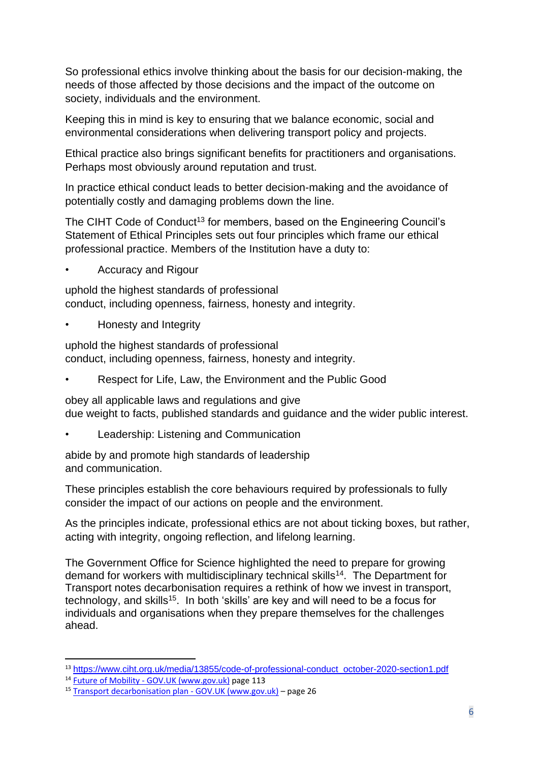So professional ethics involve thinking about the basis for our decision-making, the needs of those affected by those decisions and the impact of the outcome on society, individuals and the environment.

Keeping this in mind is key to ensuring that we balance economic, social and environmental considerations when delivering transport policy and projects.

Ethical practice also brings significant benefits for practitioners and organisations. Perhaps most obviously around reputation and trust.

In practice ethical conduct leads to better decision-making and the avoidance of potentially costly and damaging problems down the line.

The CIHT Code of Conduct<sup>13</sup> for members, based on the Engineering Council's Statement of Ethical Principles sets out four principles which frame our ethical professional practice. Members of the Institution have a duty to:

• Accuracy and Rigour

uphold the highest standards of professional conduct, including openness, fairness, honesty and integrity.

• Honesty and Integrity

uphold the highest standards of professional conduct, including openness, fairness, honesty and integrity.

• Respect for Life, Law, the Environment and the Public Good

obey all applicable laws and regulations and give due weight to facts, published standards and guidance and the wider public interest.

• Leadership: Listening and Communication

abide by and promote high standards of leadership and communication.

These principles establish the core behaviours required by professionals to fully consider the impact of our actions on people and the environment.

As the principles indicate, professional ethics are not about ticking boxes, but rather, acting with integrity, ongoing reflection, and lifelong learning.

The Government Office for Science highlighted the need to prepare for growing demand for workers with multidisciplinary technical skills<sup>14</sup>. The Department for Transport notes decarbonisation requires a rethink of how we invest in transport, technology, and skills<sup>15</sup>. In both 'skills' are key and will need to be a focus for individuals and organisations when they prepare themselves for the challenges ahead.

<sup>&</sup>lt;sup>13</sup> [https://www.ciht.org.uk/media/13855/code-of-professional-conduct\\_october-2020-section1.pdf](https://www.ciht.org.uk/media/13855/code-of-professional-conduct_october-2020-section1.pdf)

<sup>14</sup> Future of Mobility - [GOV.UK \(www.gov.uk\)](https://www.gov.uk/government/publications/future-of-mobility) page 113

<sup>15</sup> [Transport decarbonisation plan -](https://www.gov.uk/government/publications/transport-decarbonisation-plan) GOV.UK (www.gov.uk) – page 26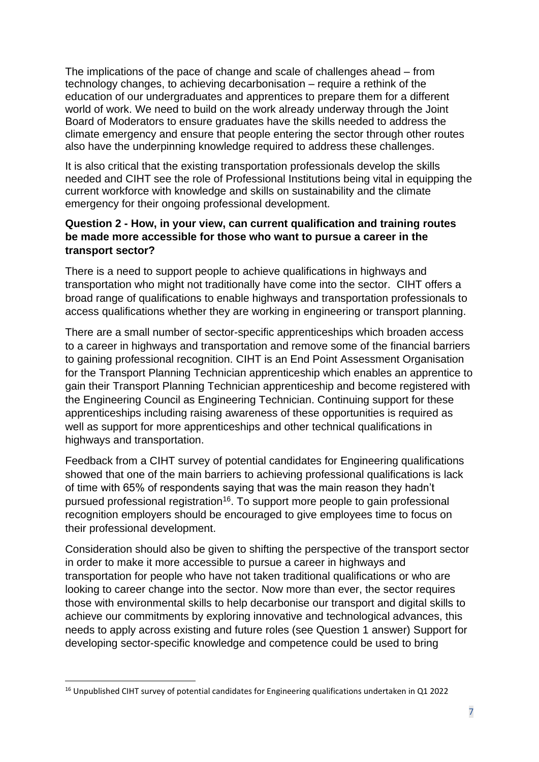The implications of the pace of change and scale of challenges ahead – from technology changes, to achieving decarbonisation – require a rethink of the education of our undergraduates and apprentices to prepare them for a different world of work. We need to build on the work already underway through the Joint Board of Moderators to ensure graduates have the skills needed to address the climate emergency and ensure that people entering the sector through other routes also have the underpinning knowledge required to address these challenges.

It is also critical that the existing transportation professionals develop the skills needed and CIHT see the role of Professional Institutions being vital in equipping the current workforce with knowledge and skills on sustainability and the climate emergency for their ongoing professional development.

# **Question 2 - How, in your view, can current qualification and training routes be made more accessible for those who want to pursue a career in the transport sector?**

There is a need to support people to achieve qualifications in highways and transportation who might not traditionally have come into the sector. CIHT offers a broad range of qualifications to enable highways and transportation professionals to access qualifications whether they are working in engineering or transport planning.

There are a small number of sector-specific apprenticeships which broaden access to a career in highways and transportation and remove some of the financial barriers to gaining professional recognition. CIHT is an End Point Assessment Organisation for the Transport Planning Technician apprenticeship which enables an apprentice to gain their Transport Planning Technician apprenticeship and become registered with the Engineering Council as Engineering Technician. Continuing support for these apprenticeships including raising awareness of these opportunities is required as well as support for more apprenticeships and other technical qualifications in highways and transportation.

Feedback from a CIHT survey of potential candidates for Engineering qualifications showed that one of the main barriers to achieving professional qualifications is lack of time with 65% of respondents saying that was the main reason they hadn't pursued professional registration<sup>16</sup>. To support more people to gain professional recognition employers should be encouraged to give employees time to focus on their professional development.

Consideration should also be given to shifting the perspective of the transport sector in order to make it more accessible to pursue a career in highways and transportation for people who have not taken traditional qualifications or who are looking to career change into the sector. Now more than ever, the sector requires those with environmental skills to help decarbonise our transport and digital skills to achieve our commitments by exploring innovative and technological advances, this needs to apply across existing and future roles (see Question 1 answer) Support for developing sector-specific knowledge and competence could be used to bring

<sup>&</sup>lt;sup>16</sup> Unpublished CIHT survey of potential candidates for Engineering qualifications undertaken in Q1 2022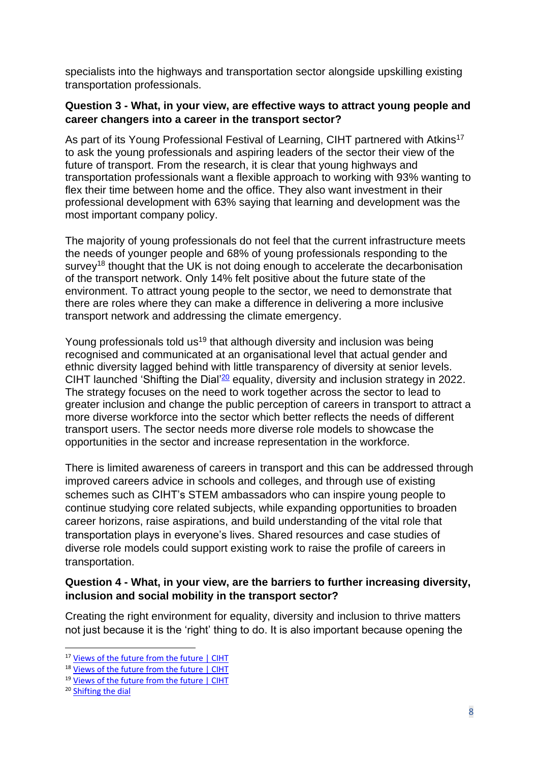specialists into the highways and transportation sector alongside upskilling existing transportation professionals.

## **Question 3 - What, in your view, are effective ways to attract young people and career changers into a career in the transport sector?**

As part of its Young Professional Festival of Learning, CIHT partnered with Atkins<sup>17</sup> to ask the young professionals and aspiring leaders of the sector their view of the future of transport. From the research, it is clear that young highways and transportation professionals want a flexible approach to working with 93% wanting to flex their time between home and the office. They also want investment in their professional development with 63% saying that learning and development was the most important company policy.

The majority of young professionals do not feel that the current infrastructure meets the needs of younger people and 68% of young professionals responding to the survey<sup>18</sup> thought that the UK is not doing enough to accelerate the decarbonisation of the transport network. Only 14% felt positive about the future state of the environment. To attract young people to the sector, we need to demonstrate that there are roles where they can make a difference in delivering a more inclusive transport network and addressing the climate emergency.

Young professionals told us<sup>19</sup> that although diversity and inclusion was being recognised and communicated at an organisational level that actual gender and ethnic diversity lagged behind with little transparency of diversity at senior levels. CIHT launched 'Shifting the Dial<sup>'20</sup> equality, diversity and inclusion strategy in 2022. The strategy focuses on the need to work together across the sector to lead to greater inclusion and change the public perception of careers in transport to attract a more diverse workforce into the sector which better reflects the needs of different transport users. The sector needs more diverse role models to showcase the opportunities in the sector and increase representation in the workforce.

There is limited awareness of careers in transport and this can be addressed through improved careers advice in schools and colleges, and through use of existing schemes such as CIHT's STEM ambassadors who can inspire young people to continue studying core related subjects, while expanding opportunities to broaden career horizons, raise aspirations, and build understanding of the vital role that transportation plays in everyone's lives. Shared resources and case studies of diverse role models could support existing work to raise the profile of careers in transportation.

# **Question 4 - What, in your view, are the barriers to further increasing diversity, inclusion and social mobility in the transport sector?**

Creating the right environment for equality, diversity and inclusion to thrive matters not just because it is the 'right' thing to do. It is also important because opening the

<sup>&</sup>lt;sup>17</sup> [Views of the future from the future | CIHT](https://www.ciht.org.uk/young-professionals-festival/views-of-the-future-from-the-future/)

<sup>&</sup>lt;sup>18</sup> [Views of the future from the future | CIHT](https://www.ciht.org.uk/young-professionals-festival/views-of-the-future-from-the-future/)

<sup>19</sup> [Views of the future from the future | CIHT](https://www.ciht.org.uk/young-professionals-festival/views-of-the-future-from-the-future/)

<sup>20</sup> [Shifting the dial](https://www.ciht.org.uk/media/15675/ciht-edi-strategy-final-single-page.pdf)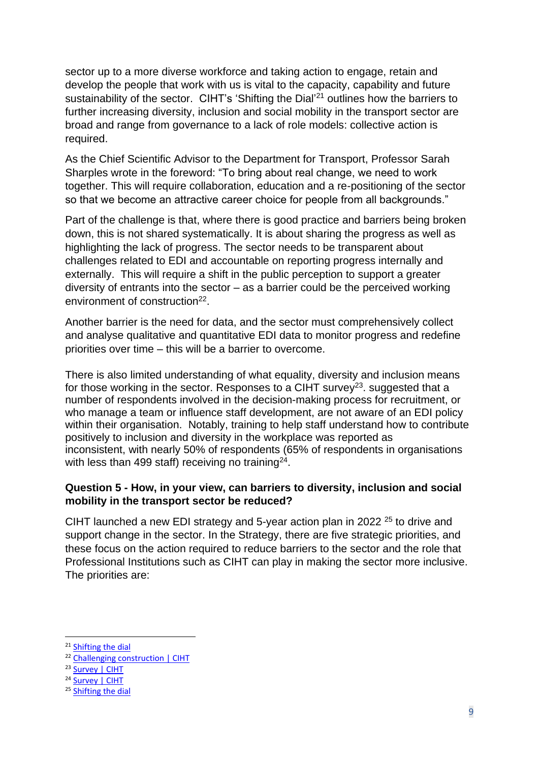sector up to a more diverse workforce and taking action to engage, retain and develop the people that work with us is vital to the capacity, capability and future sustainability of the sector. CIHT's 'Shifting the Dial'<sup>21</sup> outlines how the barriers to further increasing diversity, inclusion and social mobility in the transport sector are broad and range from governance to a lack of role models: collective action is required.

As the Chief Scientific Advisor to the Department for Transport, Professor Sarah Sharples wrote in the foreword: "To bring about real change, we need to work together. This will require collaboration, education and a re-positioning of the sector so that we become an attractive career choice for people from all backgrounds."

Part of the challenge is that, where there is good practice and barriers being broken down, this is not shared systematically. It is about sharing the progress as well as highlighting the lack of progress. The sector needs to be transparent about challenges related to EDI and accountable on reporting progress internally and externally. This will require a shift in the public perception to support a greater diversity of entrants into the sector – as a barrier could be the perceived working environment of construction<sup>22</sup>.

Another barrier is the need for data, and the sector must comprehensively collect and analyse qualitative and quantitative EDI data to monitor progress and redefine priorities over time – this will be a barrier to overcome.

There is also limited understanding of what equality, diversity and inclusion means for those working in the sector. Responses to a CIHT survey<sup>23</sup>. suggested that a number of respondents involved in the decision-making process for recruitment, or who manage a team or influence staff development, are not aware of an EDI policy within their organisation. Notably, training to help staff understand how to contribute positively to inclusion and diversity in the workplace was reported as inconsistent, with nearly 50% of respondents (65% of respondents in organisations with less than 499 staff) receiving no training<sup>24</sup>.

### **Question 5 - How, in your view, can barriers to diversity, inclusion and social mobility in the transport sector be reduced?**

CIHT launched a new EDI strategy and 5-year action plan in 2022  $25$  to drive and support change in the sector. In the Strategy, there are five strategic priorities, and these focus on the action required to reduce barriers to the sector and the role that Professional Institutions such as CIHT can play in making the sector more inclusive. The priorities are:

<sup>21</sup> [Shifting](https://www.ciht.org.uk/media/15675/ciht-edi-strategy-final-single-page.pdf) the dial

<sup>22</sup> [Challenging construction | CIHT](https://www.ciht.org.uk/news/challenging-construction/)

<sup>&</sup>lt;sup>23</sup> [Survey | CIHT](https://www.ciht.org.uk/future-skills-and-the-post-pandemic-workforce/)

<sup>&</sup>lt;sup>24</sup> [Survey | CIHT](https://www.ciht.org.uk/future-skills-and-the-post-pandemic-workforce/)

<sup>25</sup> [Shifting the dial](https://www.ciht.org.uk/media/15675/ciht-edi-strategy-final-single-page.pdf)